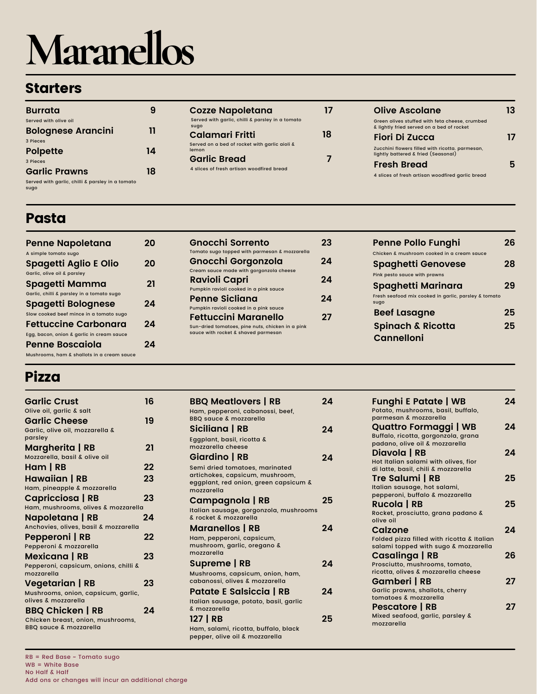# **Maranellos**

### **Starters**

| Burrata                                                  |    |
|----------------------------------------------------------|----|
| Served with olive oil                                    |    |
| <b>Bolognese Arancini</b>                                | 11 |
| 3 Pieces                                                 |    |
| <b>Polpette</b>                                          | 14 |
| 3 Pieces                                                 |    |
| <b>Garlic Prawns</b>                                     | 18 |
| Served with garlic, chilli & parsley in a tomato<br>sugo |    |

| <b>Cozze Napoletana</b>                                  |    |
|----------------------------------------------------------|----|
| Served with garlic, chilli & parsley in a tomato<br>sugo |    |
| Calamari Fritti                                          | 18 |
| Served on a bed of rocket with garlic aioli &<br>lemon   |    |
| <b>Garlic Bread</b>                                      |    |
| 4 slices of fresh artisan woodfired bread                |    |
|                                                          |    |

| Olive Ascolane                                                                              | 13 |
|---------------------------------------------------------------------------------------------|----|
| Green olives stuffed with feta cheese, crumbed<br>& lightly fried served on a bed of rocket |    |
| Fiori Di Zucca                                                                              |    |
| Zucchini flowers filled with ricotta. parmesan,<br>lightly battered & fried (Seasonal)      |    |
| <b>Fresh Bread</b>                                                                          |    |
| 4 slices of fresh artisan woodfired garlic bread                                            |    |

### Pasta

| <b>Penne Napoletana</b>                    | 70 |
|--------------------------------------------|----|
| A simple tomato sugo                       |    |
| <b>Spagetti Aglio E Olio</b>               | 20 |
| Garlic, olive oil & parsley                |    |
| Spagetti Mamma                             | 21 |
| Garlic, chilli & parsley in a tomato sugo  |    |
| <b>Spagetti Bolognese</b>                  | 2Δ |
| Slow cooked beef mince in a tomato sugo    |    |
| <b>Fettuccine Carbonara</b>                | 2Δ |
| Egg, bacon, onion & garlic in cream sauce  |    |
| Penne Boscaiola                            |    |
| Mushrooms, ham & shallots in a cream sauce |    |

| - 22 |
|------|
|      |
| 2Δ   |
|      |
| 24   |
|      |
| 24   |
|      |
| 21   |
|      |
|      |

| 26 |
|----|
|    |
| 28 |
|    |
| 29 |
|    |
| 25 |
| 25 |
|    |
|    |

## Pizza

| <b>Garlic Crust</b>                                                    | 16 |
|------------------------------------------------------------------------|----|
| Olive oil, garlic & salt                                               |    |
| <b>Garlic Cheese</b>                                                   | 19 |
| Garlic, olive oil, mozzarella &                                        |    |
| parsley                                                                |    |
| Margherita   RB                                                        | 21 |
| Mozzarella, basil & olive oil                                          |    |
| Ham   RB                                                               | 22 |
| <b>Hawaiian   RB</b>                                                   | 23 |
| Ham, pineapple & mozzarella                                            |    |
| Capricciosa   RB                                                       | 23 |
| Ham, mushrooms, olives & mozzarella                                    |    |
| Napoletana   RB                                                        | 24 |
| Anchovies, olives, basil & mozzarella                                  |    |
| Pepperoni   RB                                                         | 22 |
| Pepperoni & mozzarella                                                 |    |
| Mexicana   RB                                                          | 23 |
| Pepperoni, capsicum, onions, chilli &                                  |    |
| mozzarella                                                             |    |
| Vegetarian   RB                                                        | 23 |
| Mushrooms, onion, capsicum, garlic,<br>olives & mozzarella             |    |
| <b>BBQ Chicken   RB</b>                                                | 24 |
| Chicken breast, onion, mushrooms,<br><b>BBQ sauce &amp; mozzarella</b> |    |

| <b>BBQ Meatlovers   RB</b>                          | 24 |
|-----------------------------------------------------|----|
| Ham, pepperoni, cabanossi, beef,                    |    |
| <b>BBQ sauce &amp; mozzarella</b>                   |    |
| Siciliana   RB                                      | 24 |
| Eggplant, basil, ricotta &                          |    |
| mozzarella cheese                                   |    |
| Giardino   RB                                       | 24 |
| Semi dried tomatoes, marinated                      |    |
| artichokes, capsicum, mushroom,                     |    |
| eggplant, red onion, green capsicum &<br>mozzarella |    |
| Campagnola   RB                                     | 25 |
| Italian sausage, gorgonzola, mushrooms              |    |
| & rocket & mozzarella                               |    |
| <b>Maranellos   RB</b>                              | 2Δ |
| Ham, pepperoni, capsicum,                           |    |
| mushroom, garlic, oregano &                         |    |
| mozzarella                                          |    |
| Supreme   RB                                        | 24 |
| Mushrooms, capsicum, onion, ham,                    |    |
| cabanossi, olives & mozzarella                      |    |
| <b>Patate E Salsiccia   RB</b>                      | 24 |
| Italian sausage, potato, basil, garlic              |    |
| & mozzarella                                        |    |
| 127   RB                                            | 25 |
| Ham, salami, ricotta, buffalo, black                |    |

pepper, olive oil & mozzarella

| <b>Funghi E Patate   WB</b><br>Potato, mushrooms, basil, buffalo,<br>parmesan & mozzarella       | 2Δ |
|--------------------------------------------------------------------------------------------------|----|
| Quattro Formaggi   WB<br>Buffalo, ricotta, gorgonzola, grana<br>padano, olive oil & mozzarella   | 2Δ |
| Diavola   RB<br>Hot Italian salami with olives, fior<br>di latte, basil, chili & mozzarella      | 24 |
| Tre Salumi   RB<br>Italian sausage, hot salami,                                                  | 25 |
| pepperoni, buffalo & mozzarella<br>Rucola   RB<br>Rocket, prosciutto, grana padano &             | 25 |
| olive oil<br>Calzone<br>Folded pizza filled with ricotta & Italian                               | 2Δ |
| salami topped with sugo & mozzarella<br><b>Casalinga   RB</b><br>Prosciutto, mushrooms, tomato,  | 26 |
| ricotta, olives & mozzarella cheese<br>Gamberi   RB<br>Garlic prawns, shallots, cherry           | 27 |
| tomatoes & mozzarella<br><b>Pescatore   RB</b><br>Mixed seafood, garlic, parsley &<br>mozzarella | 27 |